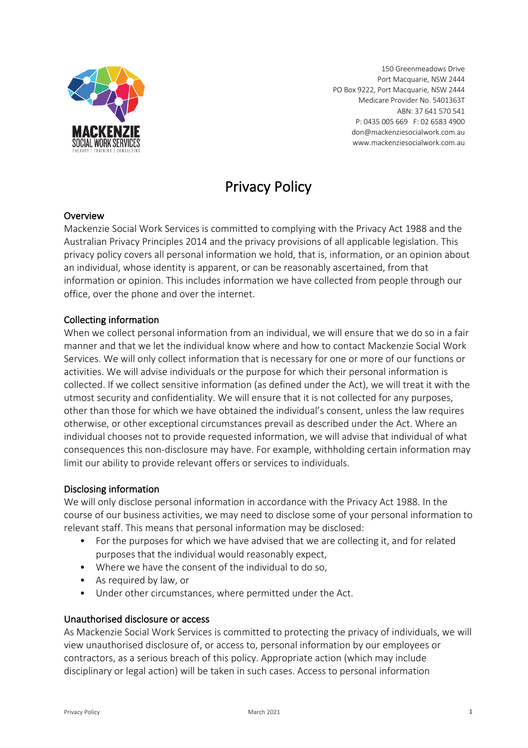

150 Greenmeadows Drive Port Macquarie, NSW 2444 PO Box 9222, Port Macquarie, NSW 2444 Medicare Provider No. 5401363T ABN: 37 641 570 541 P: 0435 005 669 F: 02 6583 4900 don@mackenziesocialwork.com.au www.mackenziesocialwork.com.au

# Privacy Policy

# **Overview**

Mackenzie Social Work Services is committed to complying with the Privacy Act 1988 and the Australian Privacy Principles 2014 and the privacy provisions of all applicable legislation. This privacy policy covers all personal information we hold, that is, information, or an opinion about an individual, whose identity is apparent, or can be reasonably ascertained, from that information or opinion. This includes information we have collected from people through our office, over the phone and over the internet.

# Collecting information

When we collect personal information from an individual, we will ensure that we do so in a fair manner and that we let the individual know where and how to contact Mackenzie Social Work Services. We will only collect information that is necessary for one or more of our functions or activities. We will advise individuals or the purpose for which their personal information is collected. If we collect sensitive information (as defined under the Act), we will treat it with the utmost security and confidentiality. We will ensure that it is not collected for any purposes, other than those for which we have obtained the individual's consent, unless the law requires otherwise, or other exceptional circumstances prevail as described under the Act. Where an individual chooses not to provide requested information, we will advise that individual of what consequences this non-disclosure may have. For example, withholding certain information may limit our ability to provide relevant offers or services to individuals.

# Disclosing information

We will only disclose personal information in accordance with the Privacy Act 1988. In the course of our business activities, we may need to disclose some of your personal information to relevant staff. This means that personal information may be disclosed:

- For the purposes for which we have advised that we are collecting it, and for related purposes that the individual would reasonably expect,
- Where we have the consent of the individual to do so,
- As required by law, or
- Under other circumstances, where permitted under the Act.

# Unauthorised disclosure or access

As Mackenzie Social Work Services is committed to protecting the privacy of individuals, we will view unauthorised disclosure of, or access to, personal information by our employees or contractors, as a serious breach of this policy. Appropriate action (which may include disciplinary or legal action) will be taken in such cases. Access to personal information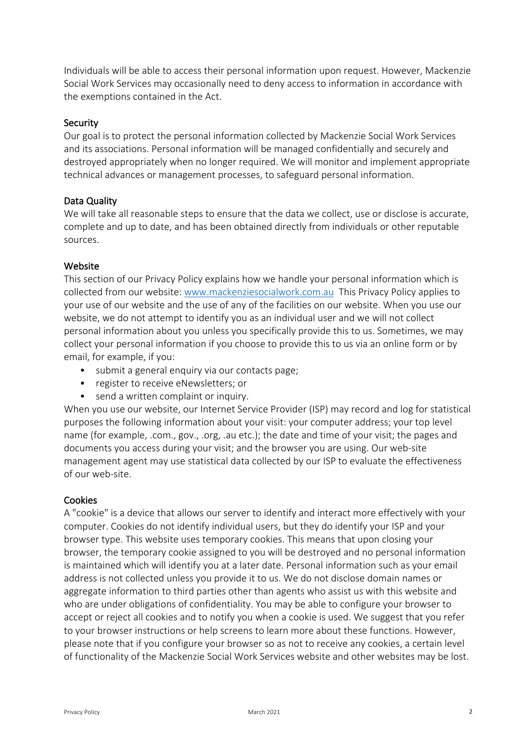Individuals will be able to access their personal information upon request. However, Mackenzie Social Work Services may occasionally need to deny access to information in accordance with the exemptions contained in the Act.

#### **Security**

Our goal is to protect the personal information collected by Mackenzie Social Work Services and its associations. Personal information will be managed confidentially and securely and destroyed appropriately when no longer required. We will monitor and implement appropriate technical advances or management processes, to safeguard personal information.

#### Data Quality

We will take all reasonable steps to ensure that the data we collect, use or disclose is accurate, complete and up to date, and has been obtained directly from individuals or other reputable sources.

#### **Website**

This section of our Privacy Policy explains how we handle your personal information which is collected from our website: www.mackenziesocialwork.com.au This Privacy Policy applies to your use of our website and the use of any of the facilities on our website. When you use our website, we do not attempt to identify you as an individual user and we will not collect personal information about you unless you specifically provide this to us. Sometimes, we may collect your personal information if you choose to provide this to us via an online form or by email, for example, if you:

- submit a general enquiry via our contacts page;
- register to receive eNewsletters; or
- send a written complaint or inquiry.

When you use our website, our Internet Service Provider (ISP) may record and log for statistical purposes the following information about your visit: your computer address; your top level name (for example, .com., gov., .org, .au etc.); the date and time of your visit; the pages and documents you access during your visit; and the browser you are using. Our web-site management agent may use statistical data collected by our ISP to evaluate the effectiveness of our web-site.

# Cookies

A "cookie" is a device that allows our server to identify and interact more effectively with your computer. Cookies do not identify individual users, but they do identify your ISP and your browser type. This website uses temporary cookies. This means that upon closing your browser, the temporary cookie assigned to you will be destroyed and no personal information is maintained which will identify you at a later date. Personal information such as your email address is not collected unless you provide it to us. We do not disclose domain names or aggregate information to third parties other than agents who assist us with this website and who are under obligations of confidentiality. You may be able to configure your browser to accept or reject all cookies and to notify you when a cookie is used. We suggest that you refer to your browser instructions or help screens to learn more about these functions. However, please note that if you configure your browser so as not to receive any cookies, a certain level of functionality of the Mackenzie Social Work Services website and other websites may be lost.